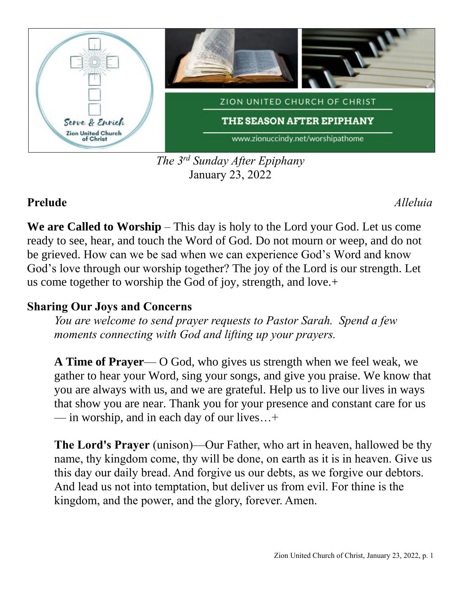

*The 3 rd Sunday After Epiphany* January 23, 2022

# **Prelude** *Alleluia*

**We are Called to Worship** – This day is holy to the Lord your God. Let us come ready to see, hear, and touch the Word of God. Do not mourn or weep, and do not be grieved. How can we be sad when we can experience God's Word and know God's love through our worship together? The joy of the Lord is our strength. Let us come together to worship the God of joy, strength, and love.+

# **Sharing Our Joys and Concerns**

*You are welcome to send prayer requests to Pastor Sarah. Spend a few moments connecting with God and lifting up your prayers.*

**A Time of Prayer**— O God, who gives us strength when we feel weak, we gather to hear your Word, sing your songs, and give you praise. We know that you are always with us, and we are grateful. Help us to live our lives in ways that show you are near. Thank you for your presence and constant care for us — in worship, and in each day of our lives…+

**The Lord's Prayer** (unison)—Our Father, who art in heaven, hallowed be thy name, thy kingdom come, thy will be done, on earth as it is in heaven. Give us this day our daily bread. And forgive us our debts, as we forgive our debtors. And lead us not into temptation, but deliver us from evil. For thine is the kingdom, and the power, and the glory, forever. Amen.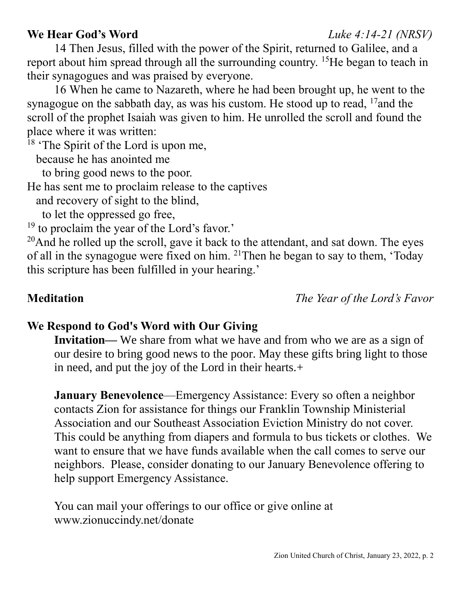### Zion United Church of Christ, January 23, 2022, p. 2

# **We Hear God's Word** *Luke 4:14-21 (NRSV)*

14 Then Jesus, filled with the power of the Spirit, returned to Galilee, and a report about him spread through all the surrounding country. <sup>15</sup>He began to teach in their synagogues and was praised by everyone.

16 When he came to Nazareth, where he had been brought up, he went to the synagogue on the sabbath day, as was his custom. He stood up to read,  $^{17}$  and the scroll of the prophet Isaiah was given to him. He unrolled the scroll and found the place where it was written:

<sup>18</sup> 'The Spirit of the Lord is upon me,

because he has anointed me

to bring good news to the poor.

He has sent me to proclaim release to the captives

and recovery of sight to the blind,

to let the oppressed go free,

<sup>19</sup> to proclaim the year of the Lord's favor.'

 $20$ And he rolled up the scroll, gave it back to the attendant, and sat down. The eyes of all in the synagogue were fixed on him. <sup>21</sup>Then he began to say to them, 'Today this scripture has been fulfilled in your hearing.'

**Meditation** *The Year of the Lord's Favor*

# **We Respond to God's Word with Our Giving**

**Invitation—** We share from what we have and from who we are as a sign of our desire to bring good news to the poor. May these gifts bring light to those in need, and put the joy of the Lord in their hearts.+

**January Benevolence**—Emergency Assistance: Every so often a neighbor contacts Zion for assistance for things our Franklin Township Ministerial Association and our Southeast Association Eviction Ministry do not cover. This could be anything from diapers and formula to bus tickets or clothes. We want to ensure that we have funds available when the call comes to serve our neighbors. Please, consider donating to our January Benevolence offering to help support Emergency Assistance.

You can mail your offerings to our office or give online at www.zionuccindy.net/donate